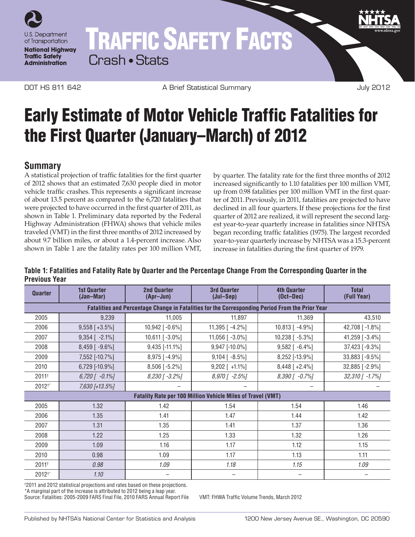

# TRAFFIC SAFETY FACTS Crash • Stats

DOT HS 811 642 A Brief Statistical Summary July 2012

## Early Estimate of Motor Vehicle Traffic Fatalities for the First Quarter (January–March) of 2012

## **Summary**

A statistical projection of traffic fatalities for the first quarter of 2012 shows that an estimated 7,630 people died in motor vehicle traffic crashes. This represents a significant increase of about 13.5 percent as compared to the 6,720 fatalities that were projected to have occurred in the first quarter of 2011, as shown in Table 1. Preliminary data reported by the Federal Highway Administration (FHWA) shows that vehicle miles traveled (VMT) in the first three months of 2012 increased by about 9.7 billion miles, or about a 1.4-percent increase. Also shown in Table 1 are the fatality rates per 100 million VMT,

by quarter. The fatality rate for the first three months of 2012 increased significantly to 1.10 fatalities per 100 million VMT, up from 0.98 fatalities per 100 million VMT in the first quarter of 2011.Previously, in 2011, fatalities are projected to have declined in all four quarters.If these projections for the first quarter of 2012 are realized, it will represent the second largest year-to-year quarterly increase in fatalities since NHTSA began recording traffic fatalities (1975). The largest recorded year-to-year quarterly increase by NHTSA was a 15.3-percent increase in fatalities during the first quarter of 1979.

#### **Table 1: Fatalities and Fatality Rate by Quarter and the Percentage Change From the Corresponding Quarter in the Previous Year**

| Quarter                                                                                         | <b>1st Quarter</b><br>(Jan-Mar) | <b>2nd Quarter</b><br>(Apr-Jun) | <b>3rd Quarter</b><br>$(Jul-Sep)$ | <b>4th Quarter</b><br>$(Oct-Dec)$ | <b>Total</b><br>(Full Year) |
|-------------------------------------------------------------------------------------------------|---------------------------------|---------------------------------|-----------------------------------|-----------------------------------|-----------------------------|
| Fatalities and Percentage Change in Fatalities for the Corresponding Period From the Prior Year |                                 |                                 |                                   |                                   |                             |
| 2005                                                                                            | 9,239                           | 11,005                          | 11,897                            | 11,369                            | 43,510                      |
| 2006                                                                                            | $9,558$ [+3.5%]                 | $10,942$ [ $-0.6\%$ ]           | 11,395 $[-4.2\%]$                 | 10,813 [ -4.9%]                   | 42,708 [-1.8%]              |
| 2007                                                                                            | $9,354$ [ -2.1%]                | 10,611 [-3.0%]                  | 11,056 $[-3.0\%]$                 | $10,238$ [ $-5.3\%$ ]             | 41,259 [-3.4%]              |
| 2008                                                                                            | $8,459$ [ -9.6%]                | 9,435 [-11.1%]                  | 9,947 [-10.0%]                    | $9,582$ [ -6.4%]                  | 37,423 [-9.3%]              |
| 2009                                                                                            | 7,552 [-10.7%]                  | 8,975 [-4.9%]                   | $9,104$ [ -8.5%]                  | 8,252 [-13.9%]                    | 33,883 [-9.5%]              |
| 2010                                                                                            | 6,729 [-10.9%]                  | $8,506$ [-5.2%]                 | $9,202$ [ +1.1%]                  | $8,448$ [ +2.4%]                  | 32,885 [-2.9%]              |
| 2011+                                                                                           | $6,720$ $\lceil -0.1\% \rceil$  | $8,230$ [ -3.2%]                | 8,970 [ -2.5%]                    | $8,390$ [ -0.7%]                  | $32,310$ [ -1.7%]           |
| 2012 <sup>+</sup> *                                                                             | 7,630 [+13.5%]                  |                                 |                                   |                                   |                             |
| <b>Fatality Rate per 100 Million Vehicle Miles of Travel (VMT)</b>                              |                                 |                                 |                                   |                                   |                             |
| 2005                                                                                            | 1.32                            | 1.42                            | 1.54                              | 1.54                              | 1.46                        |
| 2006                                                                                            | 1.35                            | 1.41                            | 1.47                              | 1.44                              | 1.42                        |
| 2007                                                                                            | 1.31                            | 1.35                            | 1.41                              | 1.37                              | 1.36                        |
| 2008                                                                                            | 1.22                            | 1.25                            | 1.33                              | 1.32                              | 1.26                        |
| 2009                                                                                            | 1.09                            | 1.16                            | 1.17                              | 1.12                              | 1.15                        |
| 2010                                                                                            | 0.98                            | 1.09                            | 1.17                              | 1.13                              | 1.11                        |
| $2011^{+}$                                                                                      | 0.98                            | 1.09                            | 1.18                              | 1.15                              | 1.09                        |
| 2012 <sup>+</sup> *                                                                             | 1.10                            |                                 |                                   |                                   |                             |

† 2011 and 2012 statistical projections and rates based on these projections.

\*A marginal part of the increase is attributed to 2012 being a leap year.

Source: Fatalities: 2005-2009 FARS Final File, 2010 FARS Annual Report File VMT: FHWA Traffic Volume Trends, March 2012